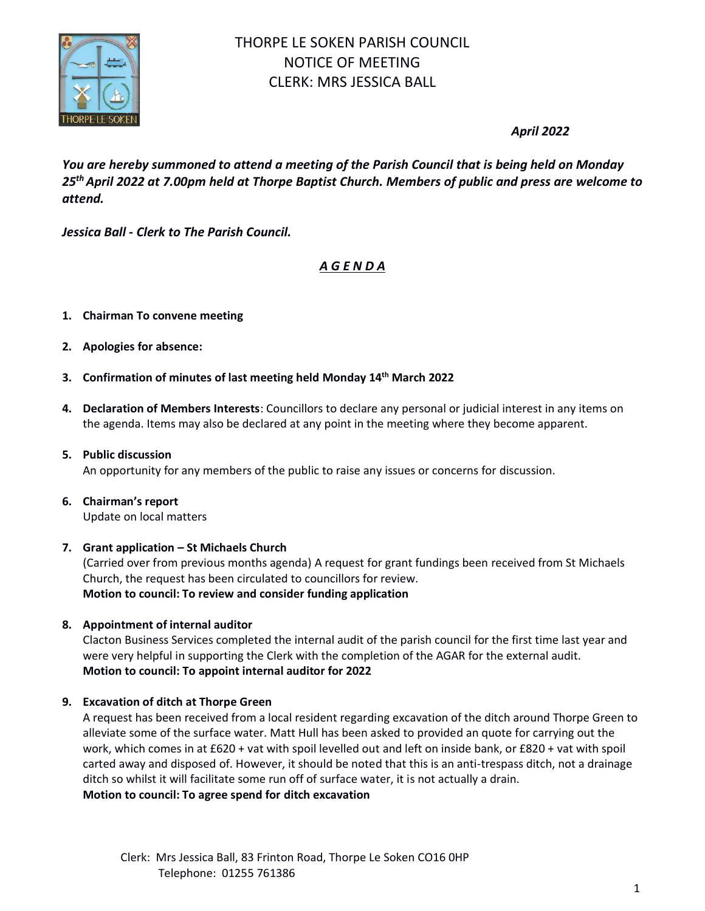

# THORPE LE SOKEN PARISH COUNCIL NOTICE OF MEETING CLERK: MRS JESSICA BALL

# *April 2022*

*You are hereby summoned to attend a meeting of the Parish Council that is being held on Monday 25thApril 2022 at 7.00pm held at Thorpe Baptist Church. Members of public and press are welcome to attend.*

*Jessica Ball* **-** *Clerk to The Parish Council.*

# *A G E N D A*

- **1. Chairman To convene meeting**
- **2. Apologies for absence:**
- **3. Confirmation of minutes of last meeting held Monday 14 th March 2022**
- **4. Declaration of Members Interests**: Councillors to declare any personal or judicial interest in any items on the agenda. Items may also be declared at any point in the meeting where they become apparent.
- **5. Public discussion**

An opportunity for any members of the public to raise any issues or concerns for discussion.

**6. Chairman's report** Update on local matters

# **7. Grant application – St Michaels Church**

(Carried over from previous months agenda) A request for grant fundings been received from St Michaels Church, the request has been circulated to councillors for review. **Motion to council: To review and consider funding application**

# **8. Appointment of internal auditor**

Clacton Business Services completed the internal audit of the parish council for the first time last year and were very helpful in supporting the Clerk with the completion of the AGAR for the external audit. **Motion to council: To appoint internal auditor for 2022**

# **9. Excavation of ditch at Thorpe Green**

A request has been received from a local resident regarding excavation of the ditch around Thorpe Green to alleviate some of the surface water. Matt Hull has been asked to provided an quote for carrying out the work, which comes in at £620 + vat with spoil levelled out and left on inside bank, or £820 + vat with spoil carted away and disposed of. However, it should be noted that this is an anti-trespass ditch, not a drainage ditch so whilst it will facilitate some run off of surface water, it is not actually a drain. **Motion to council: To agree spend for ditch excavation**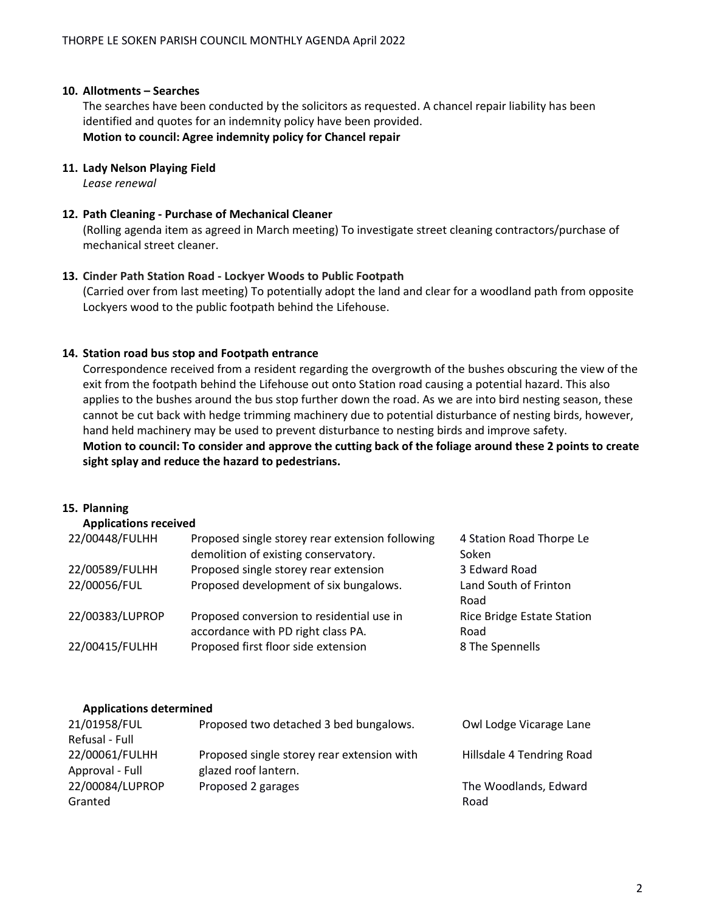# **10. Allotments – Searches**

The searches have been conducted by the solicitors as requested. A chancel repair liability has been identified and quotes for an indemnity policy have been provided. **Motion to council: Agree indemnity policy for Chancel repair**

# **11. Lady Nelson Playing Field**

*Lease renewal*

#### **12. Path Cleaning - Purchase of Mechanical Cleaner**

(Rolling agenda item as agreed in March meeting) To investigate street cleaning contractors/purchase of mechanical street cleaner.

#### **13. Cinder Path Station Road - Lockyer Woods to Public Footpath**

(Carried over from last meeting) To potentially adopt the land and clear for a woodland path from opposite Lockyers wood to the public footpath behind the Lifehouse.

# **14. Station road bus stop and Footpath entrance**

Correspondence received from a resident regarding the overgrowth of the bushes obscuring the view of the exit from the footpath behind the Lifehouse out onto Station road causing a potential hazard. This also applies to the bushes around the bus stop further down the road. As we are into bird nesting season, these cannot be cut back with hedge trimming machinery due to potential disturbance of nesting birds, however, hand held machinery may be used to prevent disturbance to nesting birds and improve safety. **Motion to council: To consider and approve the cutting back of the foliage around these 2 points to create sight splay and reduce the hazard to pedestrians.**

#### **15. Planning**

#### **Applications received**

| 22/00448/FULHH  | Proposed single storey rear extension following | 4 Station Road Thorpe Le          |
|-----------------|-------------------------------------------------|-----------------------------------|
|                 | demolition of existing conservatory.            | Soken                             |
| 22/00589/FULHH  | Proposed single storey rear extension           | 3 Edward Road                     |
| 22/00056/FUL    | Proposed development of six bungalows.          | Land South of Frinton             |
|                 |                                                 | Road                              |
| 22/00383/LUPROP | Proposed conversion to residential use in       | <b>Rice Bridge Estate Station</b> |
|                 | accordance with PD right class PA.              | Road                              |
| 22/00415/FULHH  | Proposed first floor side extension             | 8 The Spennells                   |
|                 |                                                 |                                   |

#### **Applications determined**

| 21/01958/FUL    | Proposed two detached 3 bed bungalows.     | Owl Lodge Vicarage Lane   |
|-----------------|--------------------------------------------|---------------------------|
| Refusal - Full  |                                            |                           |
| 22/00061/FULHH  | Proposed single storey rear extension with | Hillsdale 4 Tendring Road |
| Approval - Full | glazed roof lantern.                       |                           |
| 22/00084/LUPROP | Proposed 2 garages                         | The Woodlands, Edward     |
| Granted         |                                            | Road                      |